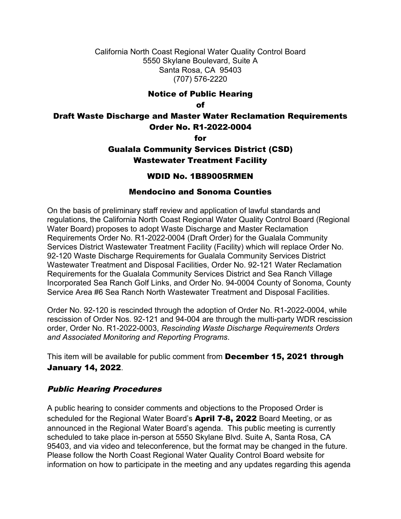California North Coast Regional Water Quality Control Board 5550 Skylane Boulevard, Suite A Santa Rosa, CA 95403 (707) 576-2220

#### Notice of Public Hearing

#### of

# Draft Waste Discharge and Master Water Reclamation Requirements Order No. R1-2022-0004

for

# Gualala Community Services District (CSD) Wastewater Treatment Facility

## WDID No. 1B89005RMEN

## Mendocino and Sonoma Counties

On the basis of preliminary staff review and application of lawful standards and regulations, the California North Coast Regional Water Quality Control Board (Regional Water Board) proposes to adopt Waste Discharge and Master Reclamation Requirements Order No. R1-2022-0004 (Draft Order) for the Gualala Community Services District Wastewater Treatment Facility (Facility) which will replace Order No. 92-120 Waste Discharge Requirements for Gualala Community Services District Wastewater Treatment and Disposal Facilities, Order No. 92-121 Water Reclamation Requirements for the Gualala Community Services District and Sea Ranch Village Incorporated Sea Ranch Golf Links, and Order No. 94-0004 County of Sonoma, County Service Area #6 Sea Ranch North Wastewater Treatment and Disposal Facilities.

Order No. 92-120 is rescinded through the adoption of Order No. R1-2022-0004, while rescission of Order Nos. 92-121 and 94-004 are through the multi-party WDR rescission order, Order No. R1-2022-0003, *Rescinding Waste Discharge Requirements Orders and Associated Monitoring and Reporting Programs*.

This item will be available for public comment from **December 15, 2021 through** January 14, 2022.

## Public Hearing Procedures

A public hearing to consider comments and objections to the Proposed Order is scheduled for the Regional Water Board's **April 7-8, 2022** Board Meeting, or as announced in the Regional Water Board's agenda. This public meeting is currently scheduled to take place in-person at 5550 Skylane Blvd. Suite A, Santa Rosa, CA 95403, and via video and teleconference, but the format may be changed in the future. Please follow the North Coast Regional Water Quality Control Board website for information on how to participate in the meeting and any updates regarding this agenda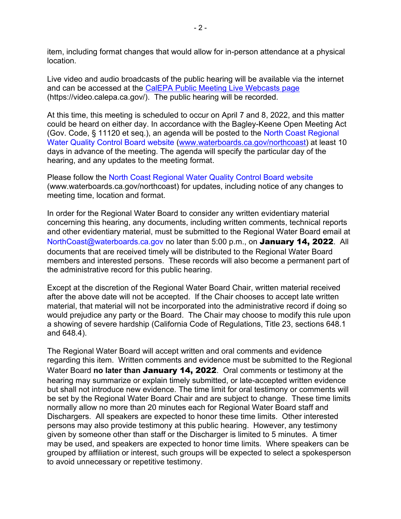item, including format changes that would allow for in-person attendance at a physical location.

Live video and audio broadcasts of the public hearing will be available via the internet and can be accessed at the [CalEPA Public Meeting Live Webcasts page](https://video.calepa.ca.gov/) (https://video.calepa.ca.gov/). The public hearing will be recorded.

At this time, this meeting is scheduled to occur on April 7 and 8, 2022, and this matter could be heard on either day. In accordance with the Bagley-Keene Open Meeting Act (Gov. Code, § 11120 et seq.), an agenda will be posted to the [North Coast Regional](https://www.waterboards.ca.gov/northcoast/)  Water Quality [Control Board website](https://www.waterboards.ca.gov/northcoast/) [\(www.waterboards.ca.gov/northcoast](http://www.waterboards.ca.gov/northcoast)) at least 10 days in advance of the meeting. The agenda will specify the particular day of the hearing, and any updates to the meeting format.

Please follow the [North Coast Regional Water Quality Control Board website](https://www.waterboards.ca.gov/northcoast/) (www.waterboards.ca.gov/northcoast) for updates, including notice of any changes to meeting time, location and format.

In order for the Regional Water Board to consider any written evidentiary material concerning this hearing, any documents, including written comments, technical reports and other evidentiary material, must be submitted to the Regional Water Board email at [NorthCoast@waterboards.ca.gov](mailto:NorthCoast@waterboards.ca.gov) no later than 5:00 p.m., on January 14, 2022. All documents that are received timely will be distributed to the Regional Water Board members and interested persons. These records will also become a permanent part of the administrative record for this public hearing.

Except at the discretion of the Regional Water Board Chair, written material received after the above date will not be accepted. If the Chair chooses to accept late written material, that material will not be incorporated into the administrative record if doing so would prejudice any party or the Board. The Chair may choose to modify this rule upon a showing of severe hardship (California Code of Regulations, Title 23, sections 648.1 and 648.4).

The Regional Water Board will accept written and oral comments and evidence regarding this item. Written comments and evidence must be submitted to the Regional Water Board **no later than January 14, 2022**. Oral comments or testimony at the hearing may summarize or explain timely submitted, or late-accepted written evidence but shall not introduce new evidence. The time limit for oral testimony or comments will be set by the Regional Water Board Chair and are subject to change. These time limits normally allow no more than 20 minutes each for Regional Water Board staff and Dischargers. All speakers are expected to honor these time limits. Other interested persons may also provide testimony at this public hearing. However, any testimony given by someone other than staff or the Discharger is limited to 5 minutes. A timer may be used, and speakers are expected to honor time limits. Where speakers can be grouped by affiliation or interest, such groups will be expected to select a spokesperson to avoid unnecessary or repetitive testimony.